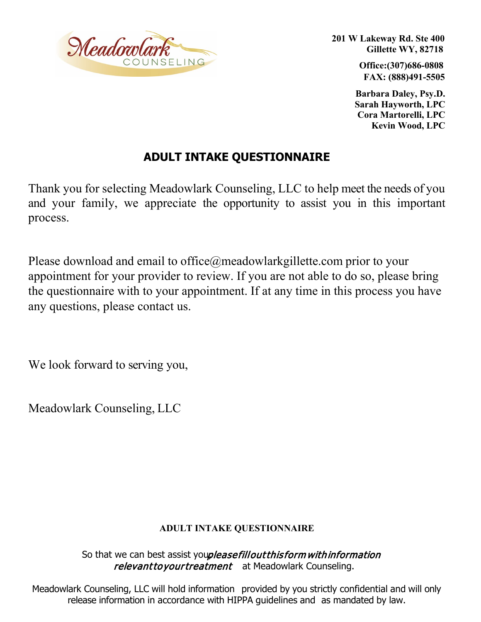

**201 W Lakeway Rd. Ste 400 Gillette WY, 82718** 

> **Office:(307)686-0808 FAX: (888)491-5505**

**Barbara Daley, Psy.D. Sarah Hayworth, LPC Cora Martorelli, LPC Kevin Wood, LPC**

## **ADULT INTAKE QUESTIONNAIRE**

Thank you for selecting Meadowlark Counseling, LLC to help meet the needs of you and your family, we appreciate the opportunity to assist you in this important process.

Please download and email to office@meadowlarkgillette.com prior to your appointment for your provider to review. If you are not able to do so, please bring the questionnaire with to your appointment. If at any time in this process you have any questions, please contact us.

We look forward to serving you,

Meadowlark Counseling, LLC

## **ADULT INTAKE QUESTIONNAIRE**

So that we can best assist youpleasefill out this form with information relevant to your treatment at Meadowlark Counseling.

Meadowlark Counseling, LLC will hold information provided by you strictly confidential and will only release information in accordance with HIPPA guidelines and as mandated by law.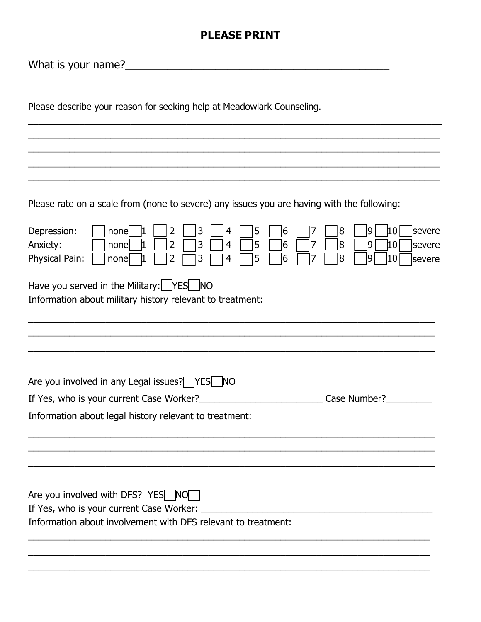## **PLEASE PRINT**

What is your name?\_\_\_\_\_\_\_\_\_\_\_\_\_\_\_\_\_\_\_\_\_\_\_\_\_\_\_\_\_\_\_\_\_\_\_\_\_\_\_\_\_\_\_\_

| Please describe your reason for seeking help at Meadowlark Counseling.                                                                                                                                                                      |
|---------------------------------------------------------------------------------------------------------------------------------------------------------------------------------------------------------------------------------------------|
|                                                                                                                                                                                                                                             |
|                                                                                                                                                                                                                                             |
| Please rate on a scale from (none to severe) any issues you are having with the following:                                                                                                                                                  |
| severe<br>Depression:<br>5<br> 8<br> 10 <br>3<br>4<br>16<br>9<br>none<br>3<br>5<br>8<br>$ 10\rangle$<br>Anxiety:<br>4<br>9<br>2<br>16<br>7<br>severe<br>none<br>Physical Pain:<br>5<br>3<br>8<br>10<br>2<br>16<br>9<br>4<br>severe<br>nonel |
| Have you served in the Military: $\sqrt{ \text{FSS} }$ NO<br>Information about military history relevant to treatment:                                                                                                                      |
|                                                                                                                                                                                                                                             |
| Are you involved in any Legal issues? YES NO                                                                                                                                                                                                |
| If Yes, who is your current Case Worker?_<br>Case Number?                                                                                                                                                                                   |
| Information about legal history relevant to treatment:                                                                                                                                                                                      |
|                                                                                                                                                                                                                                             |
| Are you involved with DFS? YES NO                                                                                                                                                                                                           |
| If Yes, who is your current Case Worker:<br>Information about involvement with DFS relevant to treatment:                                                                                                                                   |
|                                                                                                                                                                                                                                             |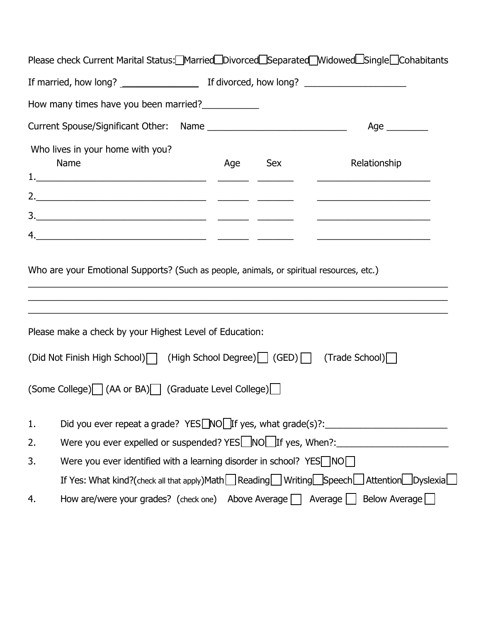| Please check Current Marital Status: Married Divorced Separated Midowed Single Cohabitants                                                          |                                                                                                      |     |              |  |
|-----------------------------------------------------------------------------------------------------------------------------------------------------|------------------------------------------------------------------------------------------------------|-----|--------------|--|
|                                                                                                                                                     |                                                                                                      |     |              |  |
| How many times have you been married?                                                                                                               |                                                                                                      |     |              |  |
|                                                                                                                                                     |                                                                                                      |     |              |  |
| Who lives in your home with you?<br>Name                                                                                                            | Age                                                                                                  | Sex | Relationship |  |
|                                                                                                                                                     |                                                                                                      |     |              |  |
|                                                                                                                                                     |                                                                                                      |     |              |  |
| Who are your Emotional Supports? (Such as people, animals, or spiritual resources, etc.)<br>Please make a check by your Highest Level of Education: |                                                                                                      |     |              |  |
| (Did Not Finish High School)   (High School Degree)   (GED)   (Trade School)                                                                        |                                                                                                      |     |              |  |
| (Some College) (AA or BA) (Graduate Level College)                                                                                                  |                                                                                                      |     |              |  |
| Did you ever repeat a grade? YES $\Box$ NO $\Box$ If yes, what grade(s)?: ______________<br>1.                                                      |                                                                                                      |     |              |  |
| Were you ever expelled or suspended? YES NO FIF yes, When?:<br>2.                                                                                   |                                                                                                      |     |              |  |
| Were you ever identified with a learning disorder in school? YES $\Box$ NO $\Box$<br>3.                                                             |                                                                                                      |     |              |  |
|                                                                                                                                                     | If Yes: What kind?(check all that apply)Math Reading Writing Speech $\Box$ Attention Dyslexia $\Box$ |     |              |  |
| How are/were your grades? (check one) Above Average $\Box$ Average $\Box$ Below Average<br>4.                                                       |                                                                                                      |     |              |  |